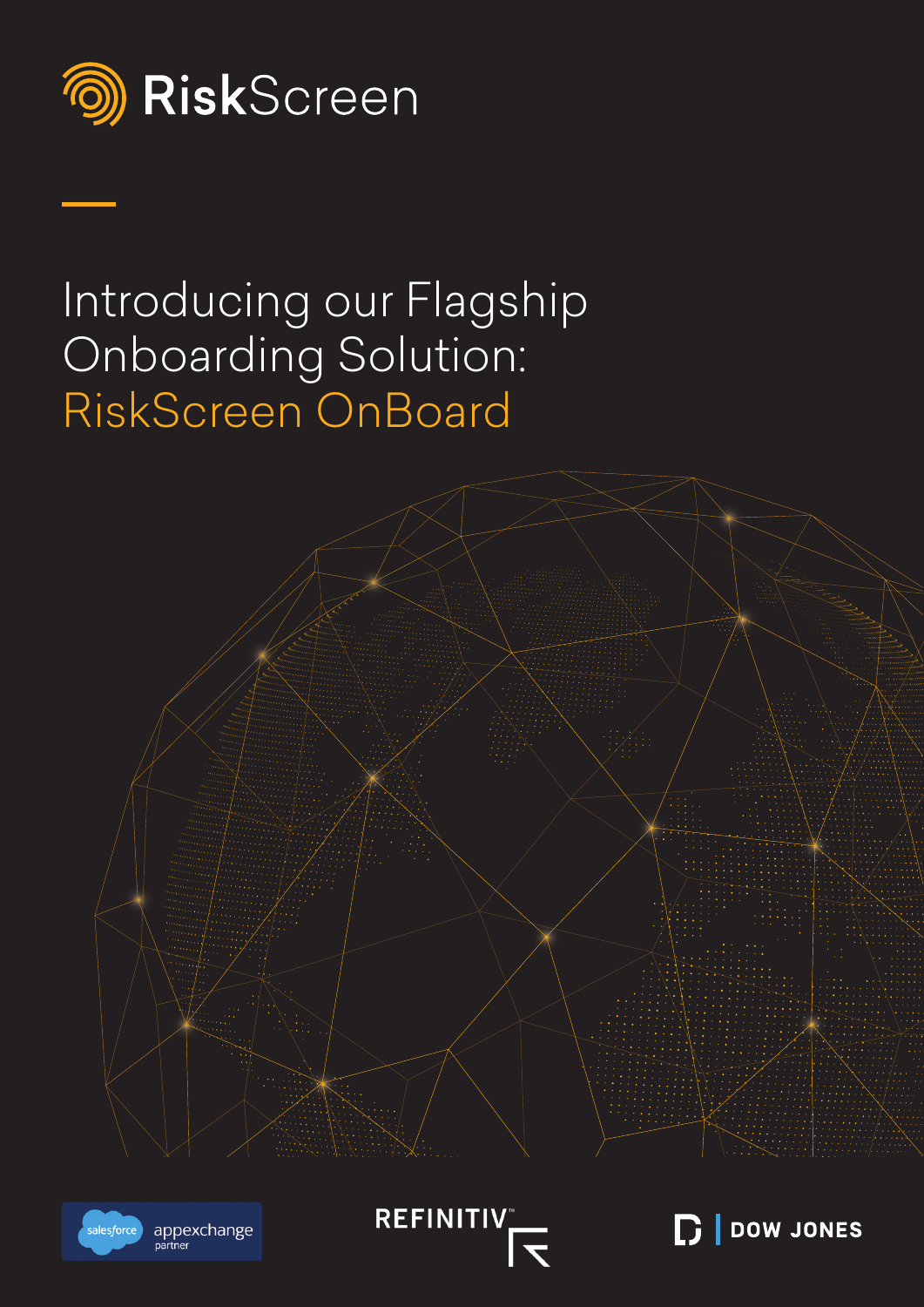

# Introducing our Flagship Onboarding Solution: RiskScreen OnBoard







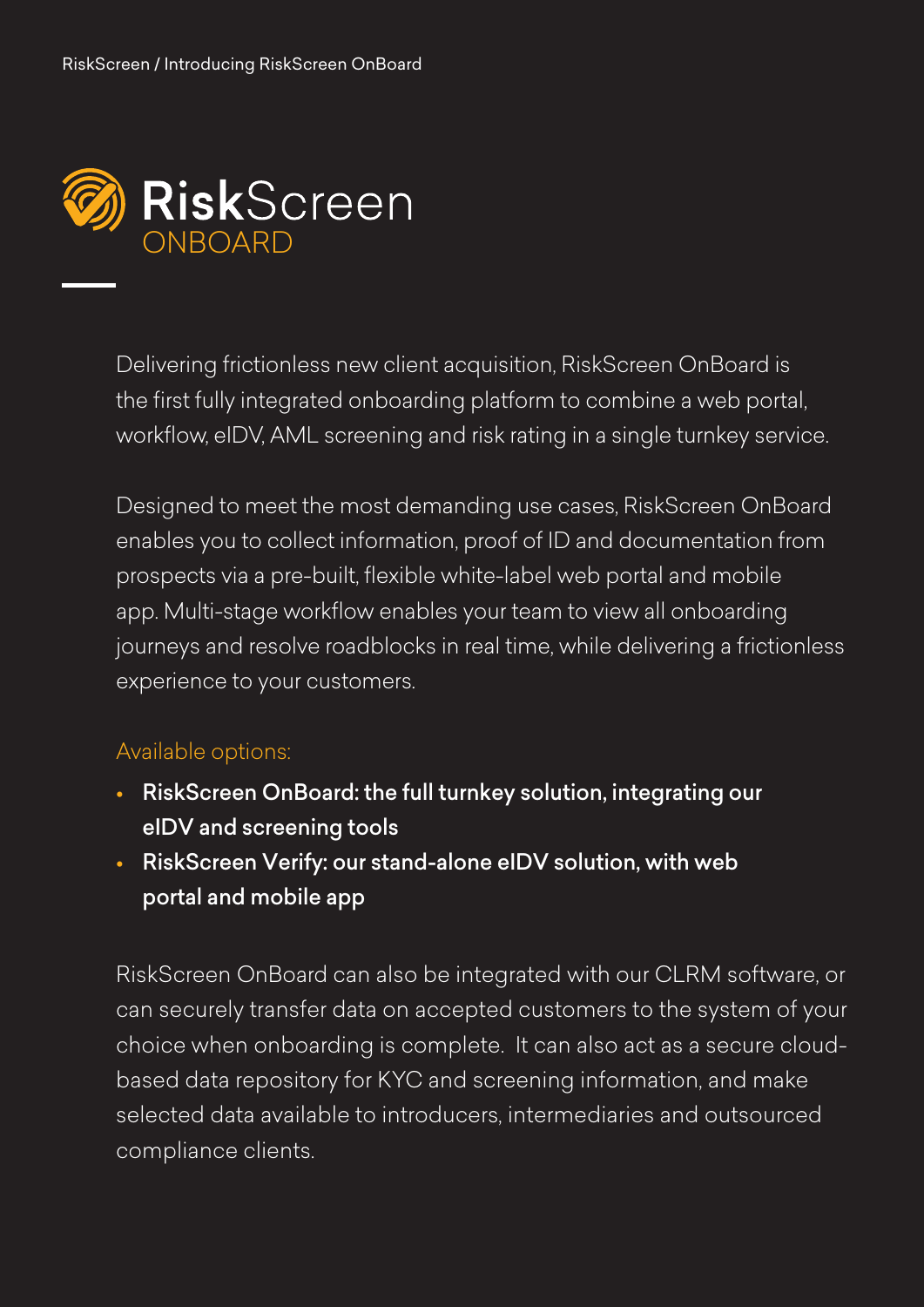

Delivering frictionless new client acquisition, RiskScreen OnBoard is the first fully integrated onboarding platform to combine a web portal, workflow, eIDV, AML screening and risk rating in a single turnkey service.

Designed to meet the most demanding use cases, RiskScreen OnBoard enables you to collect information, proof of ID and documentation from prospects via a pre-built, flexible white-label web portal and mobile app. Multi-stage workflow enables your team to view all onboarding journeys and resolve roadblocks in real time, while delivering a frictionless experience to your customers.

#### Available options:

- RiskScreen OnBoard: the full turnkey solution, integrating our eIDV and screening tools
- RiskScreen Verify: our stand-alone eIDV solution, with web portal and mobile app

RiskScreen OnBoard can also be integrated with our CLRM software, or can securely transfer data on accepted customers to the system of your choice when onboarding is complete. It can also act as a secure cloudbased data repository for KYC and screening information, and make selected data available to introducers, intermediaries and outsourced compliance clients.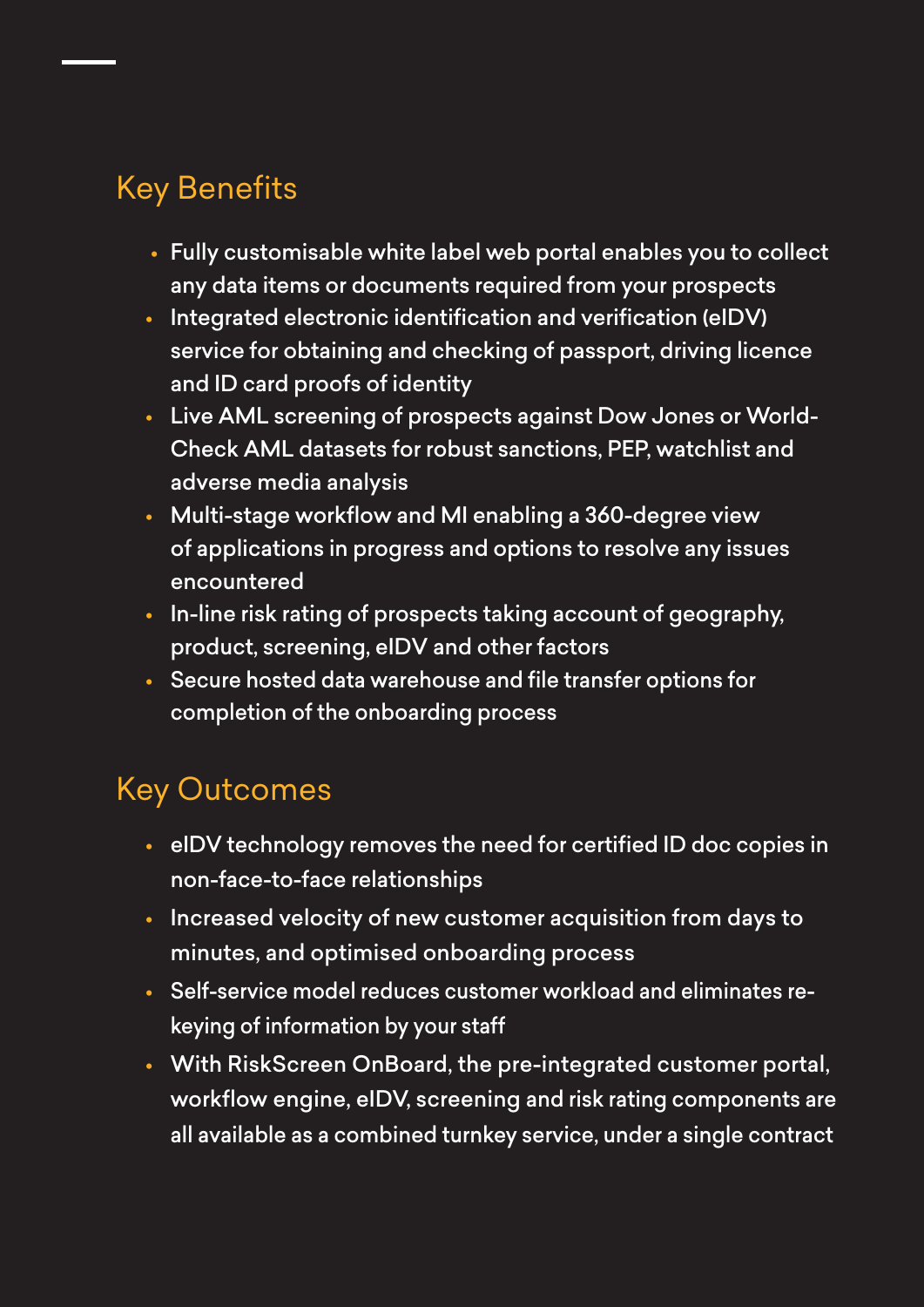## Key Benefits

- Fully customisable white label web portal enables you to collect any data items or documents required from your prospects
- Integrated electronic identification and verification (eIDV) service for obtaining and checking of passport, driving licence and ID card proofs of identity
- Live AML screening of prospects against Dow Jones or World-Check AML datasets for robust sanctions, PEP, watchlist and adverse media analysis
- Multi-stage workflow and MI enabling a 360-degree view of applications in progress and options to resolve any issues encountered
- In-line risk rating of prospects taking account of geography, product, screening, eIDV and other factors
- Secure hosted data warehouse and file transfer options for completion of the onboarding process

## Key Outcomes

- eIDV technology removes the need for certified ID doc copies in non-face-to-face relationships
- Increased velocity of new customer acquisition from days to minutes, and optimised onboarding process
- Self-service model reduces customer workload and eliminates rekeying of information by your staff
- With RiskScreen OnBoard, the pre-integrated customer portal, workflow engine, eIDV, screening and risk rating components are all available as a combined turnkey service, under a single contract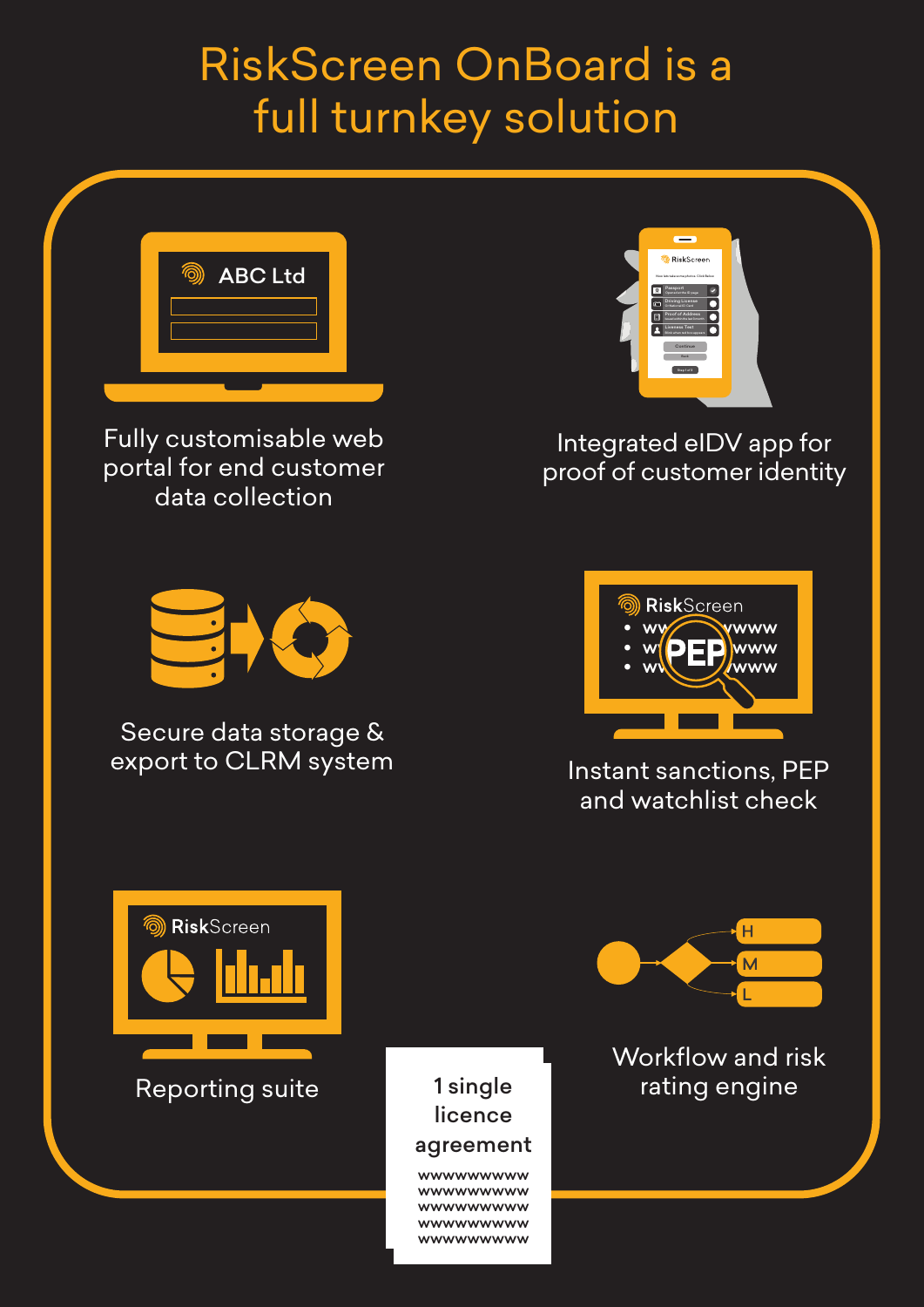## RiskScreen OnBoard is a full turnkey solution



Fully customisable web portal for end customer data collection



Integrated eIDV app for proof of customer identity



Secure data storage & export to CLRM system



Instant sanctions, PEP and watchlist check



#### 1 single licence agreement

wwwwwwwww wwwwwwwww wwwwwwwww wwwwwwwww wwwwwwwww



Workflow and risk Reporting suite **1** and 1 single a lating engine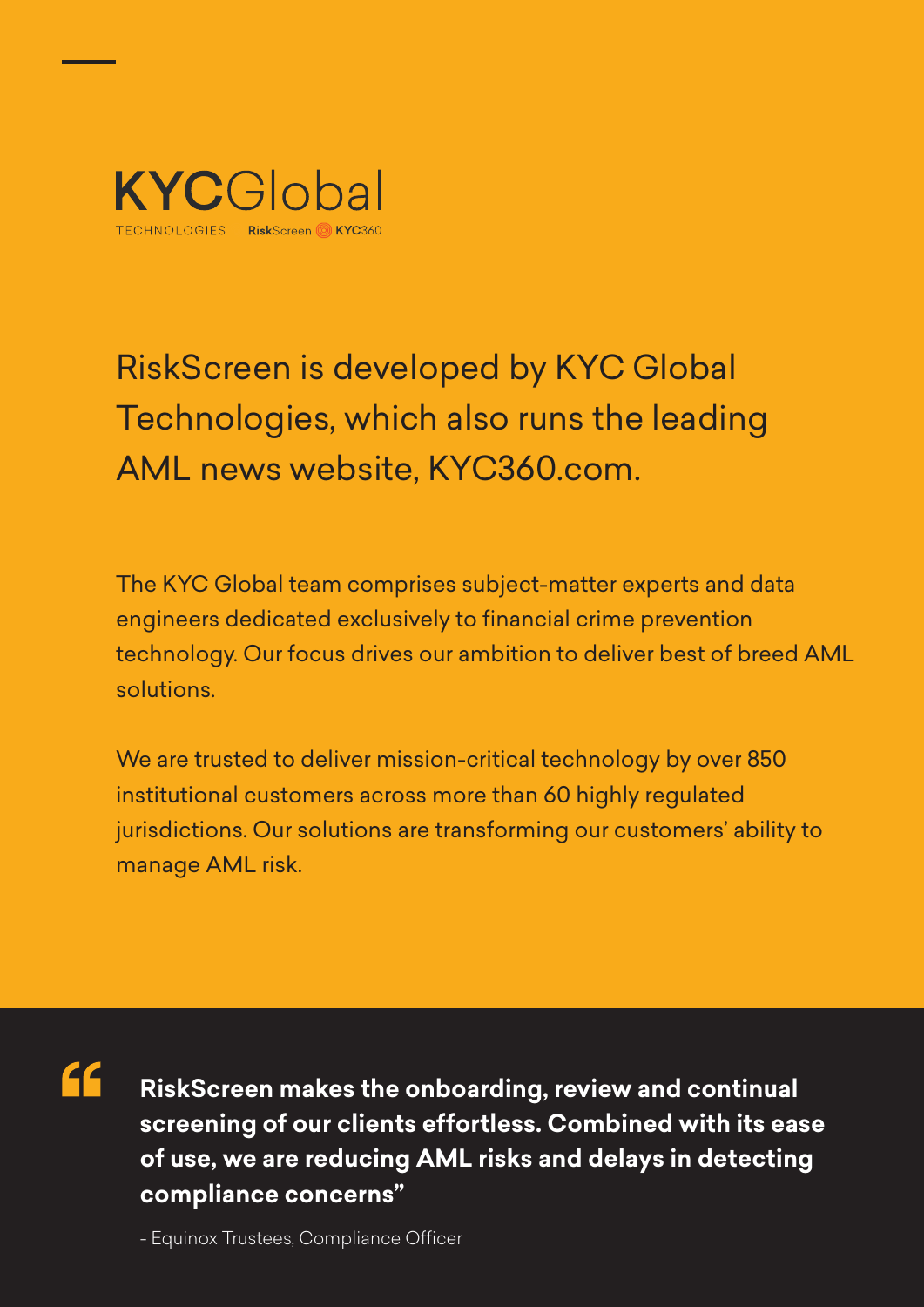

## RiskScreen is developed by KYC Global Technologies, which also runs the leading AML news website, KYC360.com.

The KYC Global team comprises subject-matter experts and data engineers dedicated exclusively to financial crime prevention technology. Our focus drives our ambition to deliver best of breed AML solutions.

We are trusted to deliver mission-critical technology by over 850 institutional customers across more than 60 highly regulated jurisdictions. Our solutions are transforming our customers' ability to manage AML risk.

44

**RiskScreen makes the onboarding, review and continual screening of our clients effortless. Combined with its ease of use, we are reducing AML risks and delays in detecting compliance concerns"**

- Equinox Trustees, Compliance Officer